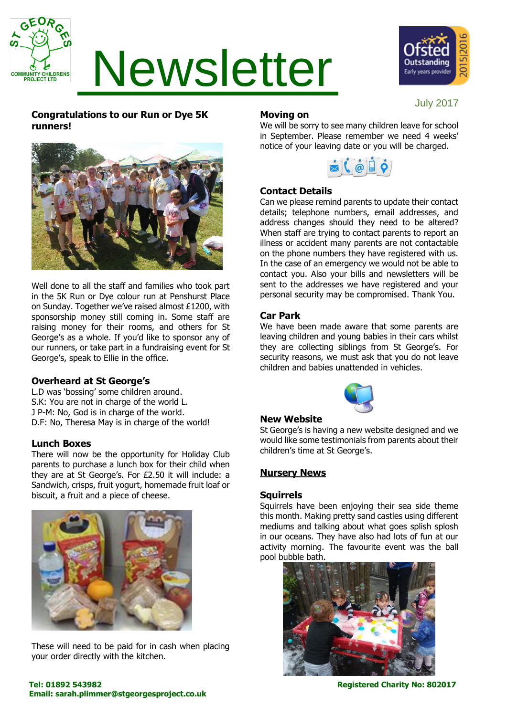

# Newsletter



July 2017

## **Congratulations to our Run or Dye 5K runners!**



Well done to all the staff and families who took part in the 5K Run or Dye colour run at Penshurst Place on Sunday. Together we've raised almost £1200, with sponsorship money still coming in. Some staff are raising money for their rooms, and others for St George's as a whole. If you'd like to sponsor any of our runners, or take part in a fundraising event for St George's, speak to Ellie in the office.

#### **Overheard at St George's**

L.D was 'bossing' some children around. S.K: You are not in charge of the world L. J P-M: No, God is in charge of the world. D.F: No, Theresa May is in charge of the world!

#### **Lunch Boxes**

There will now be the opportunity for Holiday Club parents to purchase a lunch box for their child when they are at St George's. For £2.50 it will include: a Sandwich, crisps, fruit yogurt, homemade fruit loaf or biscuit, a fruit and a piece of cheese.



These will need to be paid for in cash when placing your order directly with the kitchen.

#### **Moving on**

We will be sorry to see many children leave for school in September. Please remember we need 4 weeks' notice of your leaving date or you will be charged.



### **Contact Details**

Can we please remind parents to update their contact details; telephone numbers, email addresses, and address changes should they need to be altered? When staff are trying to contact parents to report an illness or accident many parents are not contactable on the phone numbers they have registered with us. In the case of an emergency we would not be able to contact you. Also your bills and newsletters will be sent to the addresses we have registered and your personal security may be compromised. Thank You.

#### **Car Park**

We have been made aware that some parents are leaving children and young babies in their cars whilst they are collecting siblings from St George's. For security reasons, we must ask that you do not leave children and babies unattended in vehicles.



#### **New Website**

St George's is having a new website designed and we would like some testimonials from parents about their children's time at St George's.

#### **Nursery News**

#### **Squirrels**

Squirrels have been enjoying their sea side theme this month. Making pretty sand castles using different mediums and talking about what goes splish splosh in our oceans. They have also had lots of fun at our activity morning. The favourite event was the ball pool bubble bath.



**Tel: 01892 543982 Registered Charity No: 802017 Email: sarah.plimmer@stgeorgesproject.co.uk**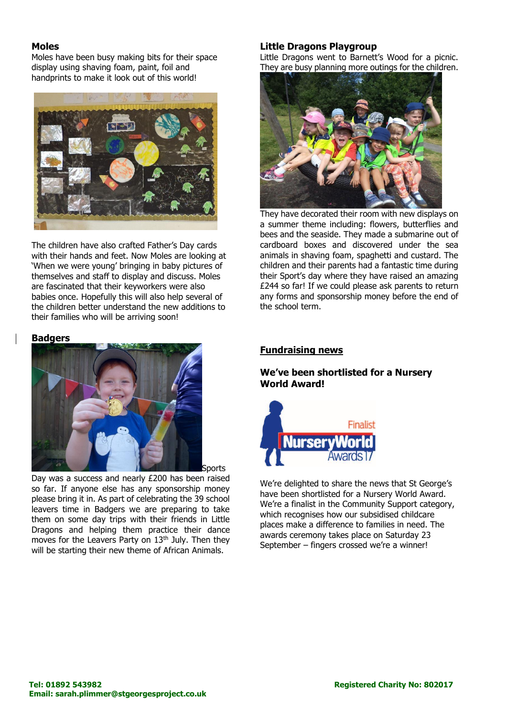#### **Moles**

Moles have been busy making bits for their space display using shaving foam, paint, foil and handprints to make it look out of this world!



The children have also crafted Father's Day cards with their hands and feet. Now Moles are looking at 'When we were young' bringing in baby pictures of themselves and staff to display and discuss. Moles are fascinated that their keyworkers were also babies once. Hopefully this will also help several of the children better understand the new additions to their families who will be arriving soon!

#### **Badgers**



Sports

Day was a success and nearly £200 has been raised so far. If anyone else has any sponsorship money please bring it in. As part of celebrating the 39 school leavers time in Badgers we are preparing to take them on some day trips with their friends in Little Dragons and helping them practice their dance moves for the Leavers Party on 13<sup>th</sup> July. Then they will be starting their new theme of African Animals.

#### **Little Dragons Playgroup**

Little Dragons went to Barnett's Wood for a picnic. They are busy planning more outings for the children.



They have decorated their room with new displays on a summer theme including: flowers, butterflies and bees and the seaside. They made a submarine out of cardboard boxes and discovered under the sea animals in shaving foam, spaghetti and custard. The children and their parents had a fantastic time during their Sport's day where they have raised an amazing £244 so far! If we could please ask parents to return any forms and sponsorship money before the end of the school term.

#### **Fundraising news**

#### **We've been shortlisted for a Nursery World Award!**



We're delighted to share the news that St George's have been shortlisted for a Nursery World Award. We're a finalist in the Community Support category, which recognises how our subsidised childcare places make a difference to families in need. The awards ceremony takes place on Saturday 23 September – fingers crossed we're a winner!